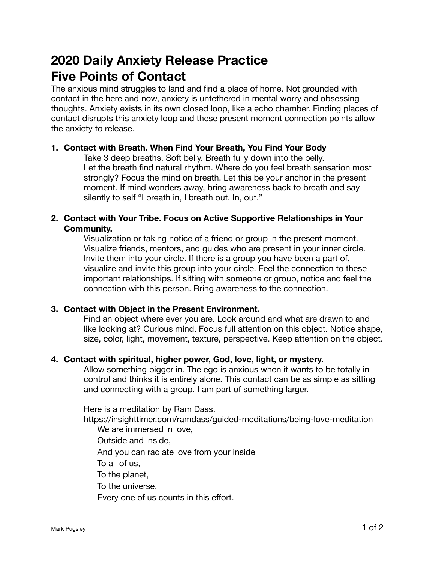# **2020 Daily Anxiety Release Practice Five Points of Contact**

The anxious mind struggles to land and find a place of home. Not grounded with contact in the here and now, anxiety is untethered in mental worry and obsessing thoughts. Anxiety exists in its own closed loop, like a echo chamber. Finding places of contact disrupts this anxiety loop and these present moment connection points allow the anxiety to release.

### **1. Contact with Breath. When Find Your Breath, You Find Your Body**

Take 3 deep breaths. Soft belly. Breath fully down into the belly. Let the breath find natural rhythm. Where do you feel breath sensation most strongly? Focus the mind on breath. Let this be your anchor in the present moment. If mind wonders away, bring awareness back to breath and say silently to self "I breath in, I breath out. In, out."

### **2. Contact with Your Tribe. Focus on Active Supportive Relationships in Your Community.**

Visualization or taking notice of a friend or group in the present moment. Visualize friends, mentors, and guides who are present in your inner circle. Invite them into your circle. If there is a group you have been a part of, visualize and invite this group into your circle. Feel the connection to these important relationships. If sitting with someone or group, notice and feel the connection with this person. Bring awareness to the connection.

# **3. Contact with Object in the Present Environment.**

Find an object where ever you are. Look around and what are drawn to and like looking at? Curious mind. Focus full attention on this object. Notice shape, size, color, light, movement, texture, perspective. Keep attention on the object.

#### **4. Contact with spiritual, higher power, God, love, light, or mystery.**

Allow something bigger in. The ego is anxious when it wants to be totally in control and thinks it is entirely alone. This contact can be as simple as sitting and connecting with a group. I am part of something larger.

Here is a meditation by Ram Dass.

<https://insighttimer.com/ramdass/guided-meditations/being-love-meditation>

We are immersed in love,

Outside and inside,

And you can radiate love from your inside

To all of us,

To the planet,

To the universe.

Every one of us counts in this effort.